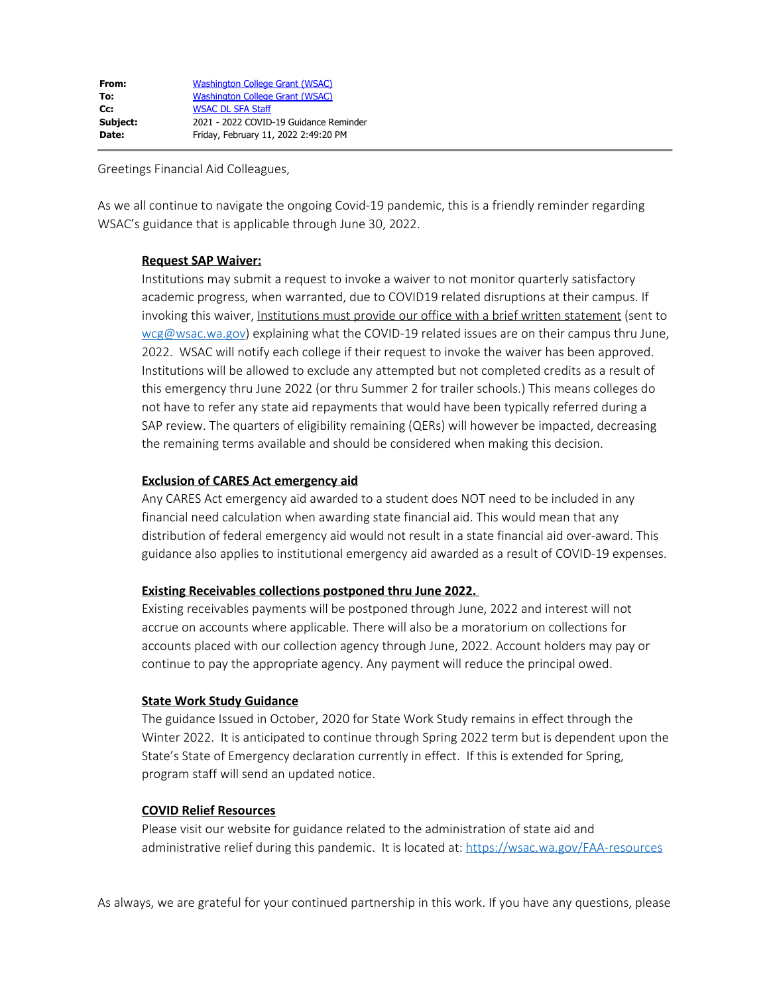| Washington College Grant (WSAC)        |
|----------------------------------------|
| Washington College Grant (WSAC)        |
| <b>WSAC DL SFA Staff</b>               |
| 2021 - 2022 COVID-19 Guidance Reminder |
| Friday, February 11, 2022 2:49:20 PM   |
|                                        |

Greetings Financial Aid Colleagues,

As we all continue to navigate the ongoing Covid-19 pandemic, this is a friendly reminder regarding WSAC's guidance that is applicable through June 30, 2022.

# **Request SAP Waiver:**

Institutions may submit a request to invoke a waiver to not monitor quarterly satisfactory academic progress, when warranted, due to COVID19 related disruptions at their campus. If invoking this waiver, Institutions must provide our office with a brief written statement (sent to [wcg@wsac.wa.gov\)](mailto:wcg@wsac.wa.gov) explaining what the COVID-19 related issues are on their campus thru June, 2022. WSAC will notify each college if their request to invoke the waiver has been approved. Institutions will be allowed to exclude any attempted but not completed credits as a result of this emergency thru June 2022 (or thru Summer 2 for trailer schools.) This means colleges do not have to refer any state aid repayments that would have been typically referred during a SAP review. The quarters of eligibility remaining (QERs) will however be impacted, decreasing the remaining terms available and should be considered when making this decision.

# **Exclusion of CARES Act emergency aid**

Any CARES Act emergency aid awarded to a student does NOT need to be included in any financial need calculation when awarding state financial aid. This would mean that any distribution of federal emergency aid would not result in a state financial aid over-award. This guidance also applies to institutional emergency aid awarded as a result of COVID-19 expenses.

### **Existing Receivables collections postponed thru June 2022.**

Existing receivables payments will be postponed through June, 2022 and interest will not accrue on accounts where applicable. There will also be a moratorium on collections for accounts placed with our collection agency through June, 2022. Account holders may pay or continue to pay the appropriate agency. Any payment will reduce the principal owed.

### **State Work Study Guidance**

The guidance Issued in October, 2020 for State Work Study remains in effect through the Winter 2022. It is anticipated to continue through Spring 2022 term but is dependent upon the State's State of Emergency declaration currently in effect. If this is extended for Spring, program staff will send an updated notice.

### **COVID Relief Resources**

Please visit our website for guidance related to the administration of state aid and administrative relief during this pandemic. It is located at: [https://wsac.wa.gov/FAA-resources](https://gcc02.safelinks.protection.outlook.com/?url=https%3A%2F%2Fwsac.wa.gov%2FFAA-resources&data=04%7C01%7CGabrieleW%40wsac.wa.gov%7C1cd8dde196f84f5c488708d9edb0bc1a%7C11d0e217264e400a8ba057dcc127d72d%7C0%7C0%7C637802165594350694%7CUnknown%7CTWFpbGZsb3d8eyJWIjoiMC4wLjAwMDAiLCJQIjoiV2luMzIiLCJBTiI6Ik1haWwiLCJXVCI6Mn0%3D%7C3000&sdata=UMXiMRC%2FGDUWXh%2Bl3Ktard1Lin7y3FFWN6M6PIAHkz4%3D&reserved=0)

As always, we are grateful for your continued partnership in this work. If you have any questions, please